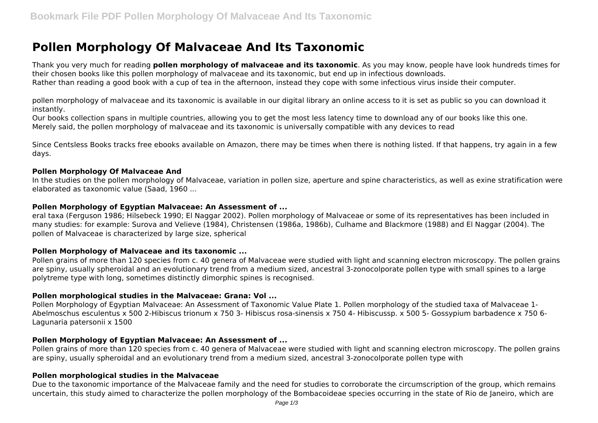# **Pollen Morphology Of Malvaceae And Its Taxonomic**

Thank you very much for reading **pollen morphology of malvaceae and its taxonomic**. As you may know, people have look hundreds times for their chosen books like this pollen morphology of malvaceae and its taxonomic, but end up in infectious downloads. Rather than reading a good book with a cup of tea in the afternoon, instead they cope with some infectious virus inside their computer.

pollen morphology of malvaceae and its taxonomic is available in our digital library an online access to it is set as public so you can download it instantly.

Our books collection spans in multiple countries, allowing you to get the most less latency time to download any of our books like this one. Merely said, the pollen morphology of malvaceae and its taxonomic is universally compatible with any devices to read

Since Centsless Books tracks free ebooks available on Amazon, there may be times when there is nothing listed. If that happens, try again in a few days.

#### **Pollen Morphology Of Malvaceae And**

In the studies on the pollen morphology of Malvaceae, variation in pollen size, aperture and spine characteristics, as well as exine stratification were elaborated as taxonomic value (Saad, 1960 ...

#### **Pollen Morphology of Egyptian Malvaceae: An Assessment of ...**

eral taxa (Ferguson 1986; Hilsebeck 1990; El Naggar 2002). Pollen morphology of Malvaceae or some of its representatives has been included in many studies: for example: Surova and Velieve (1984), Christensen (1986a, 1986b), Culhame and Blackmore (1988) and El Naggar (2004). The pollen of Malvaceae is characterized by large size, spherical

## **Pollen Morphology of Malvaceae and its taxonomic ...**

Pollen grains of more than 120 species from c. 40 genera of Malvaceae were studied with light and scanning electron microscopy. The pollen grains are spiny, usually spheroidal and an evolutionary trend from a medium sized, ancestral 3-zonocolporate pollen type with small spines to a large polytreme type with long, sometimes distinctly dimorphic spines is recognised.

## **Pollen morphological studies in the Malvaceae: Grana: Vol ...**

Pollen Morphology of Egyptian Malvaceae: An Assessment of Taxonomic Value Plate 1. Pollen morphology of the studied taxa of Malvaceae 1- Abelmoschus esculentus x 500 2-Hibiscus trionum x 750 3- Hibiscus rosa-sinensis x 750 4- Hibiscussp. x 500 5- Gossypium barbadence x 750 6- Lagunaria patersonii x 1500

## **Pollen Morphology of Egyptian Malvaceae: An Assessment of ...**

Pollen grains of more than 120 species from c. 40 genera of Malvaceae were studied with light and scanning electron microscopy. The pollen grains are spiny, usually spheroidal and an evolutionary trend from a medium sized, ancestral 3-zonocolporate pollen type with

## **Pollen morphological studies in the Malvaceae**

Due to the taxonomic importance of the Malvaceae family and the need for studies to corroborate the circumscription of the group, which remains uncertain, this study aimed to characterize the pollen morphology of the Bombacoideae species occurring in the state of Rio de Janeiro, which are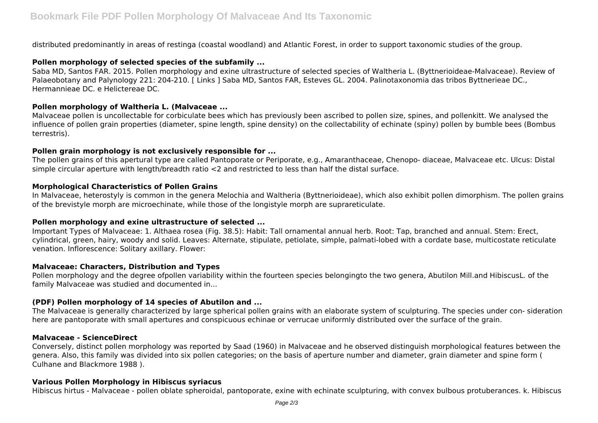distributed predominantly in areas of restinga (coastal woodland) and Atlantic Forest, in order to support taxonomic studies of the group.

## **Pollen morphology of selected species of the subfamily ...**

Saba MD, Santos FAR. 2015. Pollen morphology and exine ultrastructure of selected species of Waltheria L. (Byttnerioideae-Malvaceae). Review of Palaeobotany and Palynology 221: 204-210. [ Links ] Saba MD, Santos FAR, Esteves GL. 2004. Palinotaxonomia das tribos Byttnerieae DC., Hermannieae DC. e Helictereae DC.

## **Pollen morphology of Waltheria L. (Malvaceae ...**

Malvaceae pollen is uncollectable for corbiculate bees which has previously been ascribed to pollen size, spines, and pollenkitt. We analysed the influence of pollen grain properties (diameter, spine length, spine density) on the collectability of echinate (spiny) pollen by bumble bees (Bombus terrestris).

### **Pollen grain morphology is not exclusively responsible for ...**

The pollen grains of this apertural type are called Pantoporate or Periporate, e.g., Amaranthaceae, Chenopo- diaceae, Malvaceae etc. Ulcus: Distal simple circular aperture with length/breadth ratio <2 and restricted to less than half the distal surface.

#### **Morphological Characteristics of Pollen Grains**

In Malvaceae, heterostyly is common in the genera Melochia and Waltheria (Byttnerioideae), which also exhibit pollen dimorphism. The pollen grains of the brevistyle morph are microechinate, while those of the longistyle morph are suprareticulate.

## **Pollen morphology and exine ultrastructure of selected ...**

Important Types of Malvaceae: 1. Althaea rosea (Fig. 38.5): Habit: Tall ornamental annual herb. Root: Tap, branched and annual. Stem: Erect, cylindrical, green, hairy, woody and solid. Leaves: Alternate, stipulate, petiolate, simple, palmati-lobed with a cordate base, multicostate reticulate venation. Inflorescence: Solitary axillary. Flower:

## **Malvaceae: Characters, Distribution and Types**

Pollen morphology and the degree ofpollen variability within the fourteen species belongingto the two genera, Abutilon Mill.and HibiscusL. of the family Malvaceae was studied and documented in...

## **(PDF) Pollen morphology of 14 species of Abutilon and ...**

The Malvaceae is generally characterized by large spherical pollen grains with an elaborate system of sculpturing. The species under con- sideration here are pantoporate with small apertures and conspicuous echinae or verrucae uniformly distributed over the surface of the grain.

#### **Malvaceae - ScienceDirect**

Conversely, distinct pollen morphology was reported by Saad (1960) in Malvaceae and he observed distinguish morphological features between the genera. Also, this family was divided into six pollen categories; on the basis of aperture number and diameter, grain diameter and spine form ( Culhane and Blackmore 1988 ).

## **Various Pollen Morphology in Hibiscus syriacus**

Hibiscus hirtus - Malvaceae - pollen oblate spheroidal, pantoporate, exine with echinate sculpturing, with convex bulbous protuberances. k. Hibiscus